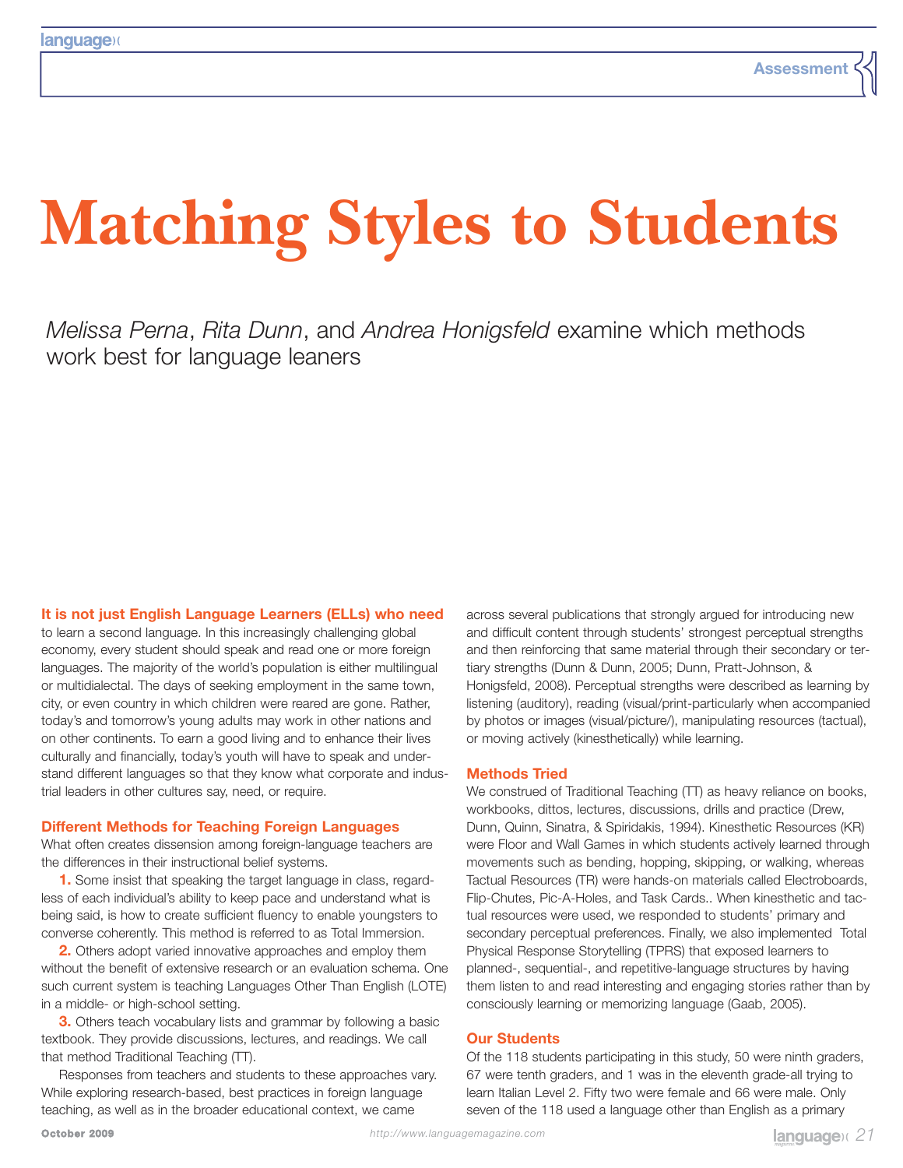# **Matching Styles to Students**

*Melissa Perna*, *Rita Dunn*, and *Andrea Honigsfeld* examine which methods work best for language leaners

**It is not just English Language Learners (ELLs) who need**

to learn a second language. In this increasingly challenging global economy, every student should speak and read one or more foreign languages. The majority of the world's population is either multilingual or multidialectal. The days of seeking employment in the same town, city, or even country in which children were reared are gone. Rather, today's and tomorrow's young adults may work in other nations and on other continents. To earn a good living and to enhance their lives culturally and financially, today's youth will have to speak and understand different languages so that they know what corporate and industrial leaders in other cultures say, need, or require.

### **Different Methods for Teaching Foreign Languages**

What often creates dissension among foreign-language teachers are the differences in their instructional belief systems.

**1.** Some insist that speaking the target language in class, regardless of each individual's ability to keep pace and understand what is being said, is how to create sufficient fluency to enable youngsters to converse coherently. This method is referred to as Total Immersion.

**2.** Others adopt varied innovative approaches and employ them without the benefit of extensive research or an evaluation schema. One such current system is teaching Languages Other Than English (LOTE) in a middle- or high-school setting.

**3.** Others teach vocabulary lists and grammar by following a basic textbook. They provide discussions, lectures, and readings. We call that method Traditional Teaching (TT).

Responses from teachers and students to these approaches vary. While exploring research-based, best practices in foreign language teaching, as well as in the broader educational context, we came

across several publications that strongly argued for introducing new and difficult content through students' strongest perceptual strengths and then reinforcing that same material through their secondary or tertiary strengths (Dunn & Dunn, 2005; Dunn, Pratt-Johnson, & Honigsfeld, 2008). Perceptual strengths were described as learning by listening (auditory), reading (visual/print-particularly when accompanied by photos or images (visual/picture/), manipulating resources (tactual), or moving actively (kinesthetically) while learning.

#### **Methods Tried**

We construed of Traditional Teaching (TT) as heavy reliance on books, workbooks, dittos, lectures, discussions, drills and practice (Drew, Dunn, Quinn, Sinatra, & Spiridakis, 1994). Kinesthetic Resources (KR) were Floor and Wall Games in which students actively learned through movements such as bending, hopping, skipping, or walking, whereas Tactual Resources (TR) were hands-on materials called Electroboards, Flip-Chutes, Pic-A-Holes, and Task Cards.. When kinesthetic and tactual resources were used, we responded to students' primary and secondary perceptual preferences. Finally, we also implemented Total Physical Response Storytelling (TPRS) that exposed learners to planned-, sequential-, and repetitive-language structures by having them listen to and read interesting and engaging stories rather than by consciously learning or memorizing language (Gaab, 2005).

#### **Our Students**

Of the 118 students participating in this study, 50 were ninth graders, 67 were tenth graders, and 1 was in the eleventh grade-all trying to learn Italian Level 2. Fifty two were female and 66 were male. Only seven of the 118 used a language other than English as a primary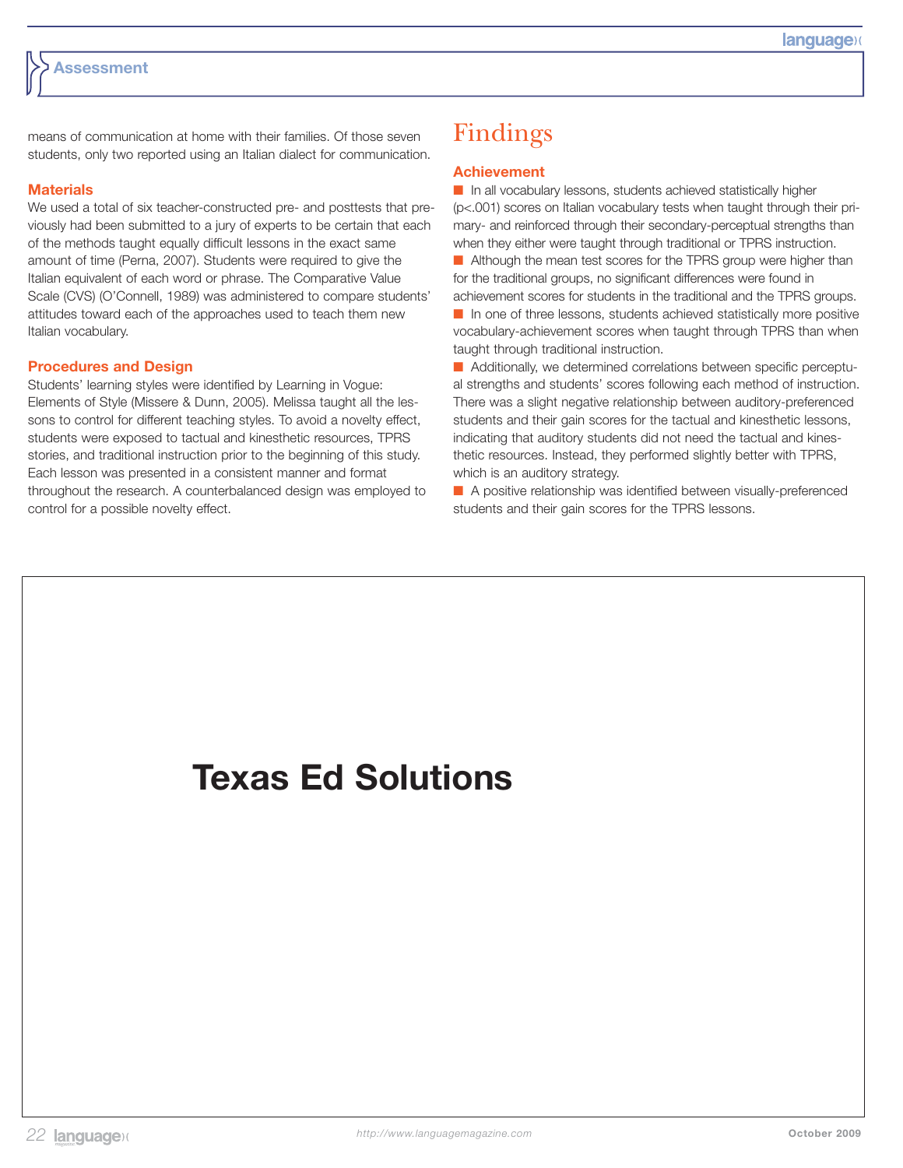means of communication at home with their families. Of those seven students, only two reported using an Italian dialect for communication.

### **Materials**

We used a total of six teacher-constructed pre- and posttests that previously had been submitted to a jury of experts to be certain that each of the methods taught equally difficult lessons in the exact same amount of time (Perna, 2007). Students were required to give the Italian equivalent of each word or phrase. The Comparative Value Scale (CVS) (O'Connell, 1989) was administered to compare students' attitudes toward each of the approaches used to teach them new Italian vocabulary.

### **Procedures and Design**

Students' learning styles were identified by Learning in Vogue: Elements of Style (Missere & Dunn, 2005). Melissa taught all the lessons to control for different teaching styles. To avoid a novelty effect, students were exposed to tactual and kinesthetic resources, TPRS stories, and traditional instruction prior to the beginning of this study. Each lesson was presented in a consistent manner and format throughout the research. A counterbalanced design was employed to control for a possible novelty effect.

### Findings

### **Achievement**

■ In all vocabulary lessons, students achieved statistically higher (p<.001) scores on Italian vocabulary tests when taught through their primary- and reinforced through their secondary-perceptual strengths than when they either were taught through traditional or TPRS instruction.

■ Although the mean test scores for the TPRS group were higher than for the traditional groups, no significant differences were found in achievement scores for students in the traditional and the TPRS groups.

■ In one of three lessons, students achieved statistically more positive vocabulary-achievement scores when taught through TPRS than when taught through traditional instruction.

■ Additionally, we determined correlations between specific perceptual strengths and students' scores following each method of instruction. There was a slight negative relationship between auditory-preferenced students and their gain scores for the tactual and kinesthetic lessons, indicating that auditory students did not need the tactual and kinesthetic resources. Instead, they performed slightly better with TPRS, which is an auditory strategy.

■ A positive relationship was identified between visually-preferenced students and their gain scores for the TPRS lessons.

## **Texas Ed Solutions**